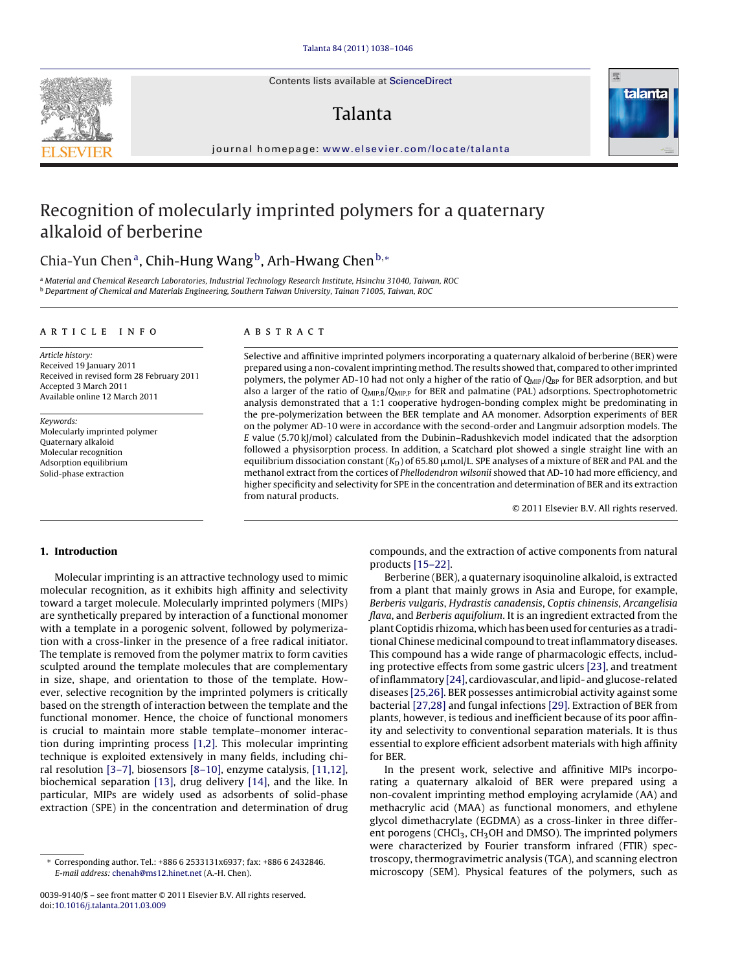Contents lists available at [ScienceDirect](http://www.sciencedirect.com/science/journal/00399140)

## Talanta



journal homepage: [www.elsevier.com/locate/talanta](http://www.elsevier.com/locate/talanta)

# Recognition of molecularly imprinted polymers for a quaternary alkaloid of berberine

## Chia-Yun Chen<sup>a</sup>, Chih-Hung Wang<sup>b</sup>, Arh-Hwang Chen<sup>b,\*</sup>

<sup>a</sup> Material and Chemical Research Laboratories, Industrial Technology Research Institute, Hsinchu 31040, Taiwan, ROC <sup>b</sup> Department of Chemical and Materials Engineering, Southern Taiwan University, Tainan 71005, Taiwan, ROC

#### article info

Article history: Received 19 January 2011 Received in revised form 28 February 2011 Accepted 3 March 2011 Available online 12 March 2011

Keywords: Molecularly imprinted polymer Quaternary alkaloid Molecular recognition Adsorption equilibrium Solid-phase extraction

## **ABSTRACT**

Selective and affinitive imprinted polymers incorporating a quaternary alkaloid of berberine (BER) were prepared using a non-covalent imprinting method. The results showed that, compared to other imprinted polymers, the polymer AD-10 had not only a higher of the ratio of  $Q_{MIP}/Q_{BP}$  for BER adsorption, and but also a larger of the ratio of  $Q_{MIP,B}/Q_{MIP,P}$  for BER and palmatine (PAL) adsorptions. Spectrophotometric analysis demonstrated that a 1:1 cooperative hydrogen-bonding complex might be predominating in the pre-polymerization between the BER template and AA monomer. Adsorption experiments of BER on the polymer AD-10 were in accordance with the second-order and Langmuir adsorption models. The E value (5.70 kJ/mol) calculated from the Dubinin–Radushkevich model indicated that the adsorption followed a physisorption process. In addition, a Scatchard plot showed a single straight line with an equilibrium dissociation constant (K<sub>D</sub>) of 65.80  $\mu$ mol/L. SPE analyses of a mixture of BER and PAL and the methanol extract from the cortices of Phellodendron wilsonii showed that AD-10 had more efficiency, and higher specificity and selectivity for SPE in the concentration and determination of BER and its extraction from natural products.

© 2011 Elsevier B.V. All rights reserved.

## **1. Introduction**

Molecular imprinting is an attractive technology used to mimic molecular recognition, as it exhibits high affinity and selectivity toward a target molecule. Molecularly imprinted polymers (MIPs) are synthetically prepared by interaction of a functional monomer with a template in a porogenic solvent, followed by polymerization with a cross-linker in the presence of a free radical initiator. The template is removed from the polymer matrix to form cavities sculpted around the template molecules that are complementary in size, shape, and orientation to those of the template. However, selective recognition by the imprinted polymers is critically based on the strength of interaction between the template and the functional monomer. Hence, the choice of functional monomers is crucial to maintain more stable template–monomer interaction during imprinting process [\[1,2\].](#page-8-0) This molecular imprinting technique is exploited extensively in many fields, including chiral resolution [\[3–7\], b](#page-8-0)iosensors [\[8–10\], e](#page-8-0)nzyme catalysis, [\[11,12\],](#page-8-0) biochemical separation [\[13\],](#page-8-0) drug delivery [\[14\],](#page-8-0) and the like. In particular, MIPs are widely used as adsorbents of solid-phase extraction (SPE) in the concentration and determination of drug compounds, and the extraction of active components from natural products [\[15–22\].](#page-8-0)

Berberine (BER), a quaternary isoquinoline alkaloid, is extracted from a plant that mainly grows in Asia and Europe, for example, Berberis vulgaris, Hydrastis canadensis, Coptis chinensis, Arcangelisia flava, and Berberis aquifolium. It is an ingredient extracted from the plant Coptidis rhizoma, which has been used for centuries as a traditional Chinese medicinal compound to treat inflammatory diseases. This compound has a wide range of pharmacologic effects, including protective effects from some gastric ulcers [\[23\], a](#page-8-0)nd treatment of inflammatory [\[24\], c](#page-8-0)ardiovascular, and lipid- and glucose-related diseases [\[25,26\]. B](#page-8-0)ER possesses antimicrobial activity against some bacterial [\[27,28\]](#page-8-0) and fungal infections [\[29\]. E](#page-8-0)xtraction of BER from plants, however, is tedious and inefficient because of its poor affinity and selectivity to conventional separation materials. It is thus essential to explore efficient adsorbent materials with high affinity for BER.

In the present work, selective and affinitive MIPs incorporating a quaternary alkaloid of BER were prepared using a non-covalent imprinting method employing acrylamide (AA) and methacrylic acid (MAA) as functional monomers, and ethylene glycol dimethacrylate (EGDMA) as a cross-linker in three different porogens (CHCl<sub>3</sub>, CH<sub>3</sub>OH and DMSO). The imprinted polymers were characterized by Fourier transform infrared (FTIR) spectroscopy, thermogravimetric analysis (TGA), and scanning electron microscopy (SEM). Physical features of the polymers, such as



<sup>∗</sup> Corresponding author. Tel.: +886 6 2533131x6937; fax: +886 6 2432846. E-mail address: [chenah@ms12.hinet.net](mailto:chenah@ms12.hinet.net) (A.-H. Chen).

<sup>0039-9140/\$ –</sup> see front matter © 2011 Elsevier B.V. All rights reserved. doi:[10.1016/j.talanta.2011.03.009](dx.doi.org/10.1016/j.talanta.2011.03.009)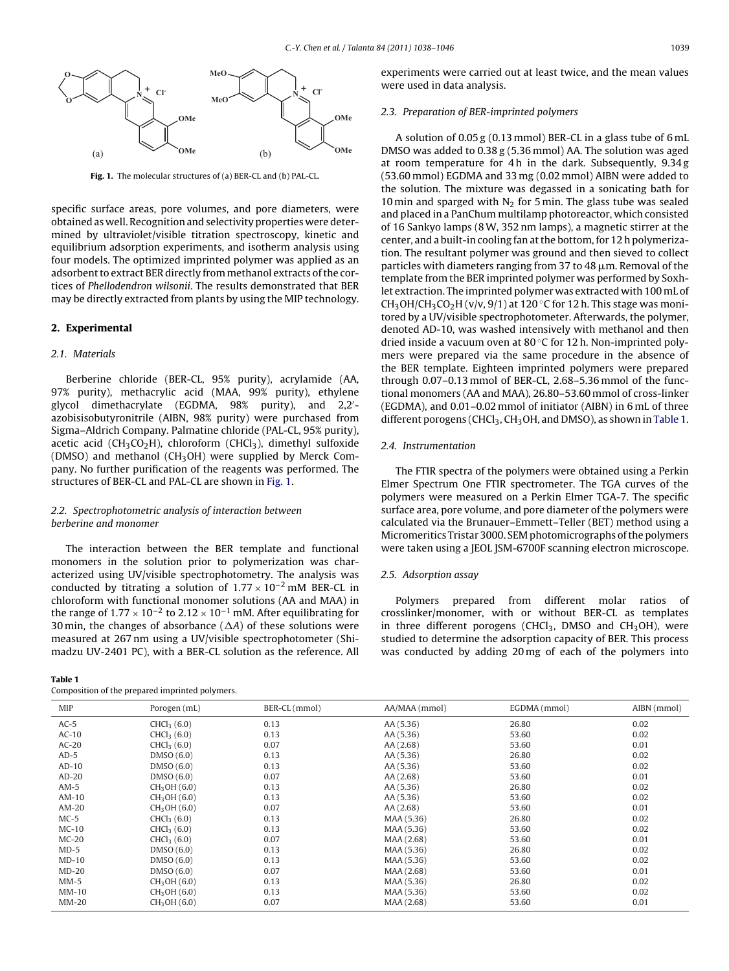<span id="page-1-0"></span>

**Fig. 1.** The molecular structures of (a) BER-CL and (b) PAL-CL.

specific surface areas, pore volumes, and pore diameters, were obtained as well. Recognition and selectivity properties were determined by ultraviolet/visible titration spectroscopy, kinetic and equilibrium adsorption experiments, and isotherm analysis using four models. The optimized imprinted polymer was applied as an adsorbent to extract BER directly from methanol extracts of the cortices of Phellodendron wilsonii. The results demonstrated that BER may be directly extracted from plants by using the MIP technology.

## **2. Experimental**

## 2.1. Materials

Berberine chloride (BER-CL, 95% purity), acrylamide (AA, 97% purity), methacrylic acid (MAA, 99% purity), ethylene glycol dimethacrylate (EGDMA, 98% purity), and 2,2 azobisisobutyronitrile (AIBN, 98% purity) were purchased from Sigma–Aldrich Company. Palmatine chloride (PAL-CL, 95% purity), acetic acid (CH<sub>3</sub>CO<sub>2</sub>H), chloroform (CHCl<sub>3</sub>), dimethyl sulfoxide (DMSO) and methanol ( $CH<sub>3</sub>OH$ ) were supplied by Merck Company. No further purification of the reagents was performed. The structures of BER-CL and PAL-CL are shown in Fig. 1.

## 2.2. Spectrophotometric analysis of interaction between berberine and monomer

The interaction between the BER template and functional monomers in the solution prior to polymerization was characterized using UV/visible spectrophotometry. The analysis was conducted by titrating a solution of  $1.77 \times 10^{-2}$  mM BER-CL in chloroform with functional monomer solutions (AA and MAA) in the range of  $1.77 \times 10^{-2}$  to  $2.12 \times 10^{-1}$  mM. After equilibrating for 30 min, the changes of absorbance ( $\Delta A$ ) of these solutions were measured at 267 nm using a UV/visible spectrophotometer (Shimadzu UV-2401 PC), with a BER-CL solution as the reference. All

**Table 1**

Composition of the prepared imprinted polymers.

experiments were carried out at least twice, and the mean values were used in data analysis.

#### 2.3. Preparation of BER-imprinted polymers

A solution of 0.05 g (0.13 mmol) BER-CL in a glass tube of 6 mL DMSO was added to 0.38 g (5.36 mmol) AA. The solution was aged at room temperature for 4h in the dark. Subsequently, 9.34g (53.60 mmol) EGDMA and 33 mg (0.02 mmol) AIBN were added to the solution. The mixture was degassed in a sonicating bath for 10 min and sparged with  $N<sub>2</sub>$  for 5 min. The glass tube was sealed and placed in a PanChum multilamp photoreactor, which consisted of 16 Sankyo lamps (8W, 352 nm lamps), a magnetic stirrer at the center, and a built-in cooling fan at the bottom, for 12 h polymerization. The resultant polymer was ground and then sieved to collect particles with diameters ranging from 37 to 48  $\mu$ m. Removal of the template from the BER imprinted polymer was performed by Soxhlet extraction. The imprinted polymer was extracted with 100 mL of CH<sub>3</sub>OH/CH<sub>3</sub>CO<sub>2</sub>H (v/v, 9/1) at 120 °C for 12 h. This stage was monitored by a UV/visible spectrophotometer. Afterwards, the polymer, denoted AD-10, was washed intensively with methanol and then dried inside a vacuum oven at 80 ◦C for 12 h. Non-imprinted polymers were prepared via the same procedure in the absence of the BER template. Eighteen imprinted polymers were prepared through 0.07–0.13 mmol of BER-CL, 2.68–5.36 mmol of the functional monomers (AA and MAA), 26.80–53.60 mmol of cross-linker (EGDMA), and 0.01–0.02 mmol of initiator (AIBN) in 6 mL of three different porogens (CHCl<sub>3</sub>, CH<sub>3</sub>OH, and DMSO), as shown in Table 1.

#### 2.4. Instrumentation

The FTIR spectra of the polymers were obtained using a Perkin Elmer Spectrum One FTIR spectrometer. The TGA curves of the polymers were measured on a Perkin Elmer TGA-7. The specific surface area, pore volume, and pore diameter of the polymers were calculated via the Brunauer–Emmett–Teller (BET) method using a Micromeritics Tristar 3000. SEM photomicrographs of the polymers were taken using a JEOL JSM-6700F scanning electron microscope.

#### 2.5. Adsorption assay

Polymers prepared from different molar ratios of crosslinker/monomer, with or without BER-CL as templates in three different porogens (CHCl<sub>3</sub>, DMSO and CH<sub>3</sub>OH), were studied to determine the adsorption capacity of BER. This process was conducted by adding 20 mg of each of the polymers into

| <b>MIP</b> | Porogen (mL)             | BER-CL (mmol) | AA/MAA (mmol) | EGDMA (mmol) | AIBN (mmol) |
|------------|--------------------------|---------------|---------------|--------------|-------------|
| $AC-5$     | CHCl <sub>3</sub> (6.0)  | 0.13          | AA (5.36)     | 26.80        | 0.02        |
| $AC-10$    | CHCl <sub>3</sub> (6.0)  | 0.13          | AA (5.36)     | 53.60        | 0.02        |
| $AC-20$    | CHCl <sub>3</sub> (6.0)  | 0.07          | AA (2.68)     | 53.60        | 0.01        |
| $AD-5$     | DMSO(6.0)                | 0.13          | AA (5.36)     | 26.80        | 0.02        |
| $AD-10$    | DMSO(6.0)                | 0.13          | AA (5.36)     | 53.60        | 0.02        |
| $AD-20$    | DMSO(6.0)                | 0.07          | AA (2.68)     | 53.60        | 0.01        |
| $AM-5$     | CH <sub>3</sub> OH (6.0) | 0.13          | AA (5.36)     | 26.80        | 0.02        |
| AM-10      | CH <sub>3</sub> OH (6.0) | 0.13          | AA (5.36)     | 53.60        | 0.02        |
| $AM-20$    | CH <sub>3</sub> OH (6.0) | 0.07          | AA (2.68)     | 53.60        | 0.01        |
| $MC-5$     | CHCl <sub>3</sub> (6.0)  | 0.13          | MAA (5.36)    | 26.80        | 0.02        |
| $MC-10$    | CHCl <sub>3</sub> (6.0)  | 0.13          | MAA (5.36)    | 53.60        | 0.02        |
| $MC-20$    | CHCl <sub>3</sub> (6.0)  | 0.07          | MAA (2.68)    | 53.60        | 0.01        |
| $MD-5$     | DMSO(6.0)                | 0.13          | MAA (5.36)    | 26.80        | 0.02        |
| $MD-10$    | DMSO(6.0)                | 0.13          | MAA (5.36)    | 53.60        | 0.02        |
| $MD-20$    | DMSO(6.0)                | 0.07          | MAA (2.68)    | 53.60        | 0.01        |
| $MM-5$     | CH <sub>3</sub> OH (6.0) | 0.13          | MAA (5.36)    | 26.80        | 0.02        |
| $MM-10$    | CH <sub>3</sub> OH (6.0) | 0.13          | MAA (5.36)    | 53.60        | 0.02        |
| $MM-20$    | CH <sub>3</sub> OH (6.0) | 0.07          | MAA (2.68)    | 53.60        | 0.01        |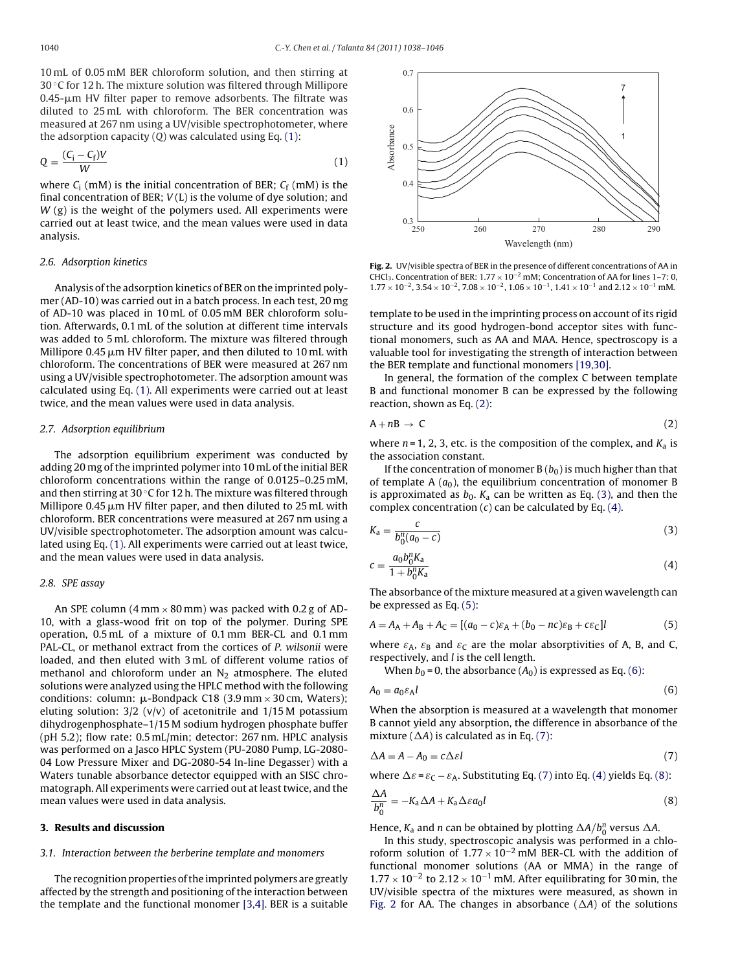<span id="page-2-0"></span>10 mL of 0.05 mM BER chloroform solution, and then stirring at 30 °C for 12 h. The mixture solution was filtered through Millipore 0.45-µm HV filter paper to remove adsorbents. The filtrate was diluted to 25 mL with chloroform. The BER concentration was measured at 267 nm using a UV/visible spectrophotometer, where the adsorption capacity  $(0)$  was calculated using Eq.  $(1)$ :

$$
Q = \frac{(C_i - C_f)V}{W}
$$
 (1)

where  $C_i$  (mM) is the initial concentration of BER;  $C_f$  (mM) is the final concentration of BER;  $V(L)$  is the volume of dye solution; and  $W$  (g) is the weight of the polymers used. All experiments were carried out at least twice, and the mean values were used in data analysis.

## 2.6. Adsorption kinetics

Analysis of the adsorption kinetics of BER on the imprinted polymer (AD-10) was carried out in a batch process. In each test, 20 mg of AD-10 was placed in 10 mL of 0.05 mM BER chloroform solution. Afterwards, 0.1 mL of the solution at different time intervals was added to 5 mL chloroform. The mixture was filtered through Millipore 0.45 µm HV filter paper, and then diluted to 10 mL with chloroform. The concentrations of BER were measured at 267 nm using a UV/visible spectrophotometer. The adsorption amount was calculated using Eq. (1). All experiments were carried out at least twice, and the mean values were used in data analysis.

#### 2.7. Adsorption equilibrium

The adsorption equilibrium experiment was conducted by adding 20 mg of the imprinted polymer into 10 mL of the initial BER chloroform concentrations within the range of 0.0125–0.25 mM, and then stirring at 30 ◦C for 12 h. The mixture was filtered through Millipore 0.45 µm HV filter paper, and then diluted to 25 mL with chloroform. BER concentrations were measured at 267 nm using a UV/visible spectrophotometer. The adsorption amount was calculated using Eq. (1). All experiments were carried out at least twice, and the mean values were used in data analysis.

## 2.8. SPE assay

An SPE column (4 mm  $\times$  80 mm) was packed with 0.2 g of AD-10, with a glass-wood frit on top of the polymer. During SPE operation, 0.5 mL of a mixture of 0.1 mm BER-CL and 0.1 mm PAL-CL, or methanol extract from the cortices of P. wilsonii were loaded, and then eluted with 3 mL of different volume ratios of methanol and chloroform under an  $N_2$  atmosphere. The eluted solutions were analyzed using the HPLC method with the following conditions: column:  $\mu$ -Bondpack C18 (3.9 mm  $\times$  30 cm, Waters); eluting solution:  $3/2$  (v/v) of acetonitrile and  $1/15$ M potassium dihydrogenphosphate–1/15 M sodium hydrogen phosphate buffer (pH 5.2); flow rate: 0.5 mL/min; detector: 267 nm. HPLC analysis was performed on a Jasco HPLC System (PU-2080 Pump, LG-2080- 04 Low Pressure Mixer and DG-2080-54 In-line Degasser) with a Waters tunable absorbance detector equipped with an SISC chromatograph. All experiments were carried out at least twice, and the mean values were used in data analysis.

## **3. Results and discussion**

## 3.1. Interaction between the berberine template and monomers

The recognition properties of the imprinted polymers are greatly affected by the strength and positioning of the interaction between the template and the functional monomer [\[3,4\]. B](#page-8-0)ER is a suitable



**Fig. 2.** UV/visible spectra of BER in the presence of different concentrations of AA in CHCl<sub>3</sub>. Concentration of BER:  $1.77 \times 10^{-2}$  mM; Concentration of AA for lines 1–7: 0,  $1.77 \times 10^{-2}$ ,  $3.54 \times 10^{-2}$ ,  $7.08 \times 10^{-2}$ ,  $1.06 \times 10^{-1}$ ,  $1.41 \times 10^{-1}$  and  $2.12 \times 10^{-1}$  mM.

template to be used in the imprinting process on account of its rigid structure and its good hydrogen-bond acceptor sites with functional monomers, such as AA and MAA. Hence, spectroscopy is a valuable tool for investigating the strength of interaction between the BER template and functional monomers [\[19,30\].](#page-8-0)

In general, the formation of the complex C between template B and functional monomer B can be expressed by the following reaction, shown as Eq. (2):

$$
A + nB \to C \tag{2}
$$

where  $n = 1, 2, 3$ , etc. is the composition of the complex, and  $K_a$  is the association constant.

If the concentration of monomer  $B(b_0)$  is much higher than that of template A  $(a_0)$ , the equilibrium concentration of monomer B is approximated as  $b_0$ .  $K_a$  can be written as Eq. (3), and then the complex concentration  $(c)$  can be calculated by Eq.  $(4)$ .

$$
K_{\rm a} = \frac{c}{b_0^n(a_0 - c)}\tag{3}
$$

$$
c = \frac{a_0 b_0^n K_a}{1 + b_0^n K_a} \tag{4}
$$

The absorbance of the mixture measured at a given wavelength can be expressed as Eq. (5):

$$
A = AA + AB + AC = [(a0 - c)\varepsilonA + (b0 - nc)\varepsilonB + c\varepsilonC]|
$$
\n(5)

where  $\varepsilon_A$ ,  $\varepsilon_B$  and  $\varepsilon_C$  are the molar absorptivities of A, B, and C, respectively, and l is the cell length.

When  $b_0 = 0$ , the absorbance  $(A_0)$  is expressed as Eq. (6):

$$
A_0 = a_0 \varepsilon_A l \tag{6}
$$

When the absorption is measured at a wavelength that monomer B cannot yield any absorption, the difference in absorbance of the mixture ( $\Delta A$ ) is calculated as in Eq. (7):

$$
\Delta A = A - A_0 = c \Delta \varepsilon l \tag{7}
$$

where  $\Delta \varepsilon$  =  $\varepsilon_{\mathsf{C}}$  –  $\varepsilon_{\mathsf{A}}$ . Substituting Eq. (7) into Eq. (4) yields Eq. (8):

$$
\frac{\Delta A}{b_0^n} = -K_a \Delta A + K_a \Delta \varepsilon a_0 l \tag{8}
$$

Hence,  $K_a$  and n can be obtained by plotting  $\Delta A/b_0^n$  versus  $\Delta A$ .

In this study, spectroscopic analysis was performed in a chloroform solution of  $1.77 \times 10^{-2}$  mM BER-CL with the addition of functional monomer solutions (AA or MMA) in the range of 1.77 × 10<sup>-2</sup> to 2.12 × 10<sup>-1</sup> mM. After equilibrating for 30 min, the UV/visible spectra of the mixtures were measured, as shown in Fig. 2 for AA. The changes in absorbance ( $\Delta A$ ) of the solutions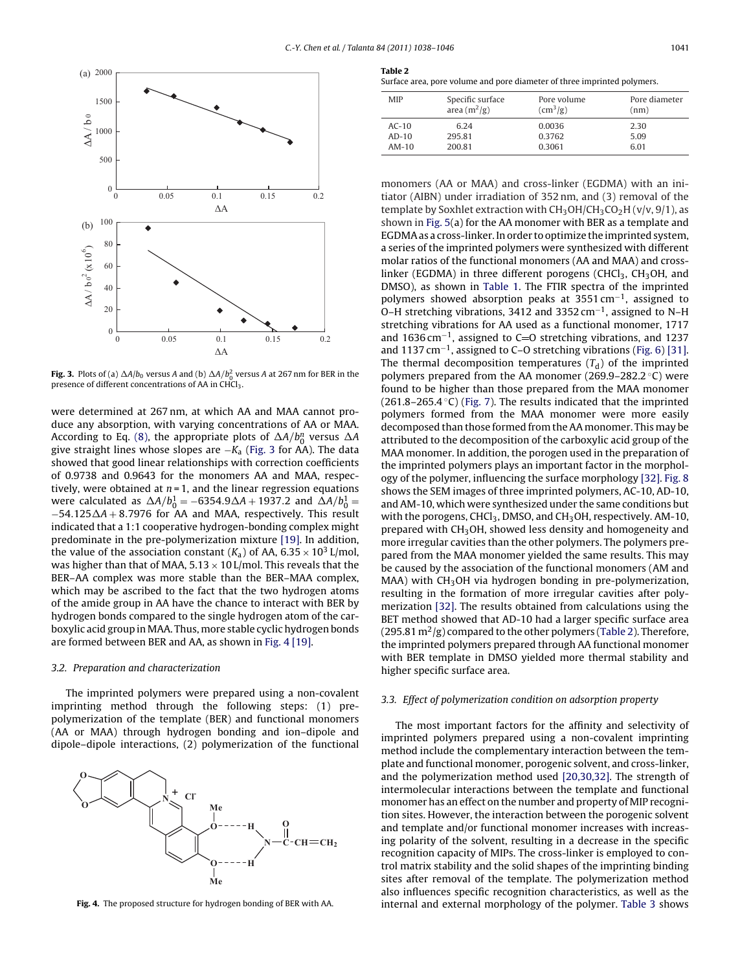

**Fig. 3.** Plots of (a)  $\Delta A/b_0$  versus A and (b)  $\Delta A/b_0^2$  versus A at 267 nm for BER in the presence of different concentrations of AA in CHCl<sub>3</sub>.

were determined at 267 nm, at which AA and MAA cannot produce any absorption, with varying concentrations of AA or MAA. According to Eq. [\(8\),](#page-2-0) the appropriate plots of  $\Delta A/b_0^n$  versus  $\Delta A$ give straight lines whose slopes are  $-K_a$  (Fig. 3 for AA). The data showed that good linear relationships with correction coefficients of 0.9738 and 0.9643 for the monomers AA and MAA, respectively, were obtained at  $n = 1$ , and the linear regression equations were calculated as  $\Delta A/b_0^1 = -6354.9\Delta A + 1937.2$  and  $\Delta A/b_0^1 =$  $-54.125\Delta A + 8.7976$  for AA and MAA, respectively. This result indicated that a 1:1 cooperative hydrogen-bonding complex might predominate in the pre-polymerization mixture [\[19\]. I](#page-8-0)n addition, the value of the association constant ( $K_a$ ) of AA, 6.35  $\times$  10<sup>3</sup> L/mol, was higher than that of MAA,  $5.13 \times 10$  L/mol. This reveals that the BER–AA complex was more stable than the BER–MAA complex, which may be ascribed to the fact that the two hydrogen atoms of the amide group in AA have the chance to interact with BER by hydrogen bonds compared to the single hydrogen atom of the carboxylic acid group in MAA. Thus, more stable cyclic hydrogen bonds are formed between BER and AA, as shown in Fig. 4 [\[19\].](#page-8-0)

## 3.2. Preparation and characterization

The imprinted polymers were prepared using a non-covalent imprinting method through the following steps: (1) prepolymerization of the template (BER) and functional monomers (AA or MAA) through hydrogen bonding and ion–dipole and dipole–dipole interactions, (2) polymerization of the functional



**Fig. 4.** The proposed structure for hydrogen bonding of BER with AA.

| e<br>iani<br>ı |  |
|----------------|--|
|                |  |

Surface area, pore volume and pore diameter of three imprinted polymers.

| <b>MIP</b> | Specific surface | Pore volume                         | Pore diameter |
|------------|------------------|-------------------------------------|---------------|
|            | area $(m^2/g)$   | $\left(\text{cm}^3/\text{g}\right)$ | (nm)          |
| $AC-10$    | 6.24             | 0.0036                              | 2.30          |
| $AD-10$    | 295.81           | 0.3762                              | 5.09          |
| $AM-10$    | 200.81           | 0.3061                              | 6.01          |

monomers (AA or MAA) and cross-linker (EGDMA) with an initiator (AIBN) under irradiation of 352 nm, and (3) removal of the template by Soxhlet extraction with  $CH<sub>3</sub>OH/CH<sub>3</sub>CO<sub>2</sub>H (v/v, 9/1)$ , as shown in [Fig. 5\(a](#page-4-0)) for the AA monomer with BER as a template and EGDMA as a cross-linker. In order to optimize the imprinted system, a series of the imprinted polymers were synthesized with different molar ratios of the functional monomers (AA and MAA) and crosslinker (EGDMA) in three different porogens (CHCl<sub>3</sub>, CH<sub>3</sub>OH, and DMSO), as shown in [Table 1.](#page-1-0) The FTIR spectra of the imprinted polymers showed absorption peaks at 3551 cm−1, assigned to O–H stretching vibrations, 3412 and 3352 cm−1, assigned to N–H stretching vibrations for AA used as a functional monomer, 1717 and 1636 cm<sup>-1</sup>, assigned to C=O stretching vibrations, and 1237 and 1137 cm−1, assigned to C–O stretching vibrations [\(Fig. 6\)](#page-5-0) [\[31\].](#page-8-0) The thermal decomposition temperatures  $(T_d)$  of the imprinted polymers prepared from the AA monomer (269.9–282.2 °C) were found to be higher than those prepared from the MAA monomer  $(261.8-265.4 \degree C)$  [\(Fig. 7\).](#page-5-0) The results indicated that the imprinted polymers formed from the MAA monomer were more easily decomposed than those formed from the AA monomer. This may be attributed to the decomposition of the carboxylic acid group of the MAA monomer. In addition, the porogen used in the preparation of the imprinted polymers plays an important factor in the morphology of the polymer, influencing the surface morphology [\[32\].](#page-8-0) [Fig. 8](#page-5-0) shows the SEM images of three imprinted polymers, AC-10, AD-10, and AM-10, which were synthesized under the same conditions but with the porogens, CHCl<sub>3</sub>, DMSO, and CH<sub>3</sub>OH, respectively. AM-10, prepared with CH<sub>3</sub>OH, showed less density and homogeneity and more irregular cavities than the other polymers. The polymers prepared from the MAA monomer yielded the same results. This may be caused by the association of the functional monomers (AM and  $MAA$ ) with  $CH<sub>3</sub>OH$  via hydrogen bonding in pre-polymerization, resulting in the formation of more irregular cavities after polymerization [\[32\].](#page-8-0) The results obtained from calculations using the BET method showed that AD-10 had a larger specific surface area  $(295.81 \text{ m}^2/\text{g})$  compared to the other polymers (Table 2). Therefore, the imprinted polymers prepared through AA functional monomer with BER template in DMSO yielded more thermal stability and higher specific surface area.

#### 3.3. Effect of polymerization condition on adsorption property

The most important factors for the affinity and selectivity of imprinted polymers prepared using a non-covalent imprinting method include the complementary interaction between the template and functional monomer, porogenic solvent, and cross-linker, and the polymerization method used [\[20,30,32\].](#page-8-0) The strength of intermolecular interactions between the template and functional monomer has an effect on the number and property of MIP recognition sites. However, the interaction between the porogenic solvent and template and/or functional monomer increases with increasing polarity of the solvent, resulting in a decrease in the specific recognition capacity of MIPs. The cross-linker is employed to control matrix stability and the solid shapes of the imprinting binding sites after removal of the template. The polymerization method also influences specific recognition characteristics, as well as the internal and external morphology of the polymer. [Table 3](#page-5-0) shows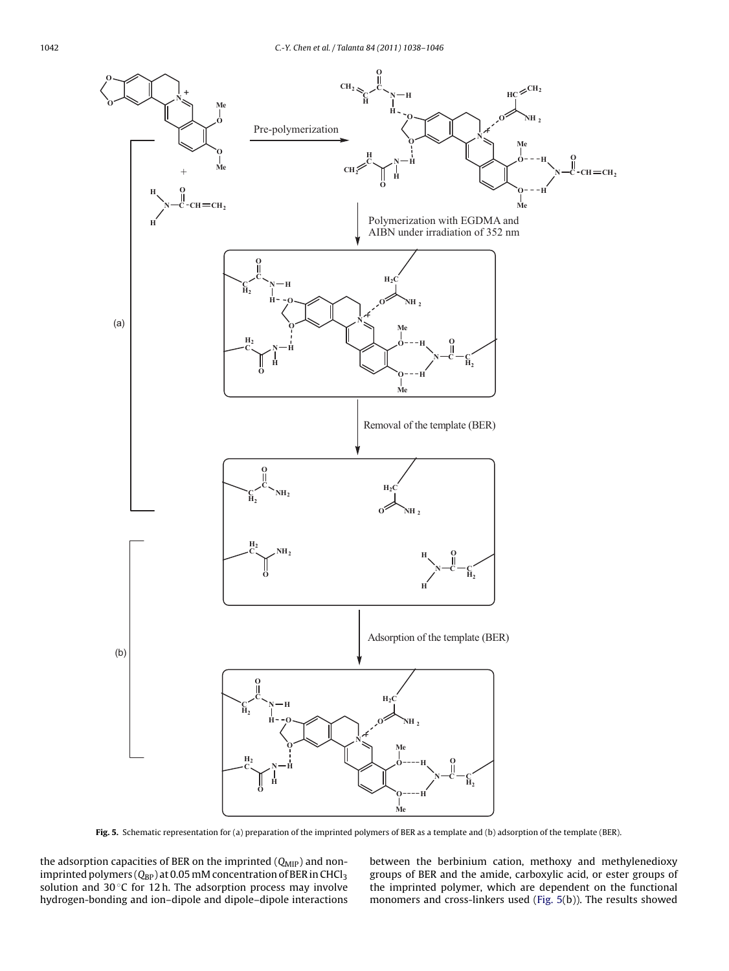<span id="page-4-0"></span>

**Fig. 5.** Schematic representation for (a) preparation of the imprinted polymers of BER as a template and (b) adsorption of the template (BER).

the adsorption capacities of BER on the imprinted  $(Q_{MIP})$  and nonimprinted polymers ( $Q_{BP}$ ) at 0.05 mM concentration of BER in CHCl<sub>3</sub> solution and 30°C for 12h. The adsorption process may involve hydrogen-bonding and ion–dipole and dipole–dipole interactions between the berbinium cation, methoxy and methylenedioxy groups of BER and the amide, carboxylic acid, or ester groups of the imprinted polymer, which are dependent on the functional monomers and cross-linkers used (Fig. 5(b)). The results showed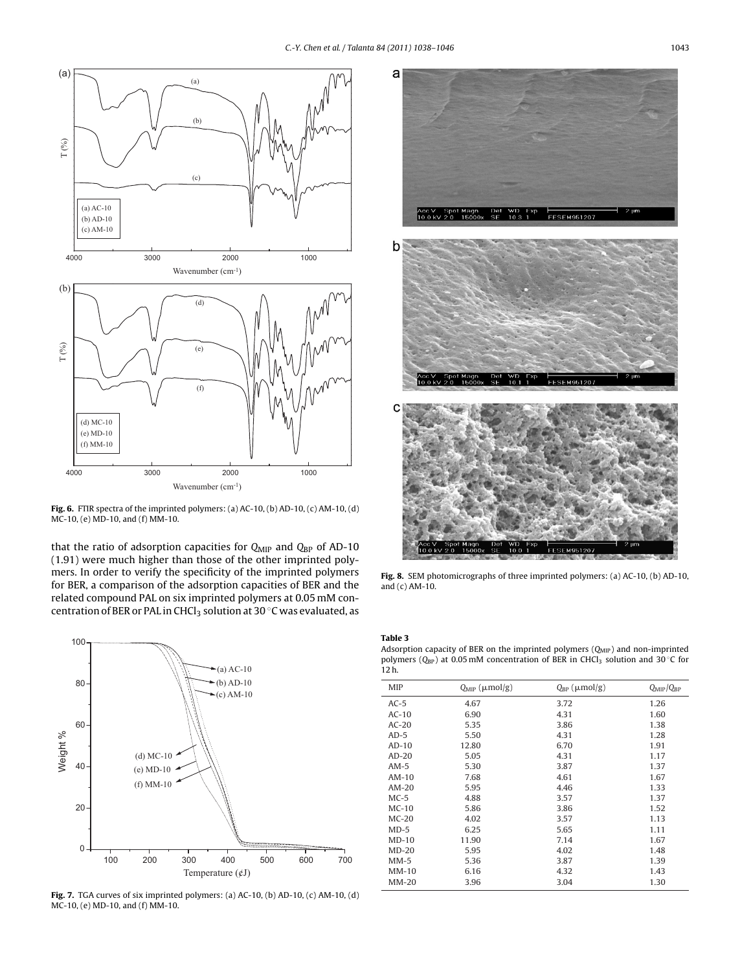<span id="page-5-0"></span>

**Fig. 6.** FTIR spectra of the imprinted polymers: (a) AC-10, (b) AD-10, (c) AM-10, (d) MC-10, (e) MD-10, and (f) MM-10.

that the ratio of adsorption capacities for  $Q_{\text{MIP}}$  and  $Q_{\text{BP}}$  of AD-10 (1.91) were much higher than those of the other imprinted polymers. In order to verify the specificity of the imprinted polymers for BER, a comparison of the adsorption capacities of BER and the related compound PAL on six imprinted polymers at 0.05 mM concentration of BER or PAL in CHCl<sub>3</sub> solution at 30  $\degree$ C was evaluated, as



**Fig. 7.** TGA curves of six imprinted polymers: (a) AC-10, (b) AD-10, (c) AM-10, (d) MC-10, (e) MD-10, and (f) MM-10.



**Fig. 8.** SEM photomicrographs of three imprinted polymers: (a) AC-10, (b) AD-10, and (c) AM-10.

**Table 3**

Adsorption capacity of BER on the imprinted polymers  $(Q<sub>MP</sub>)$  and non-imprinted polymers ( $Q_{BP}$ ) at 0.05 mM concentration of BER in CHCl<sub>3</sub> solution and 30 °C for 12 h.

| <b>MIP</b> | $Q_{\text{MIP}}$ ( $\mu$ mol/g) | $Q_{BP}$ ( $\mu$ mol/g) | $Q_{\text{MIP}}/Q_{\text{BP}}$ |
|------------|---------------------------------|-------------------------|--------------------------------|
| $AC-5$     | 4.67                            | 3.72                    | 1.26                           |
| $AC-10$    | 6.90                            | 4.31                    | 1.60                           |
| $AC-20$    | 5.35                            | 3.86                    | 1.38                           |
| $AD-5$     | 5.50                            | 4.31                    | 1.28                           |
| $AD-10$    | 12.80                           | 6.70                    | 1.91                           |
| $AD-20$    | 5.05                            | 4.31                    | 1.17                           |
| $AM-5$     | 5.30                            | 3.87                    | 1.37                           |
| $AM-10$    | 7.68                            | 4.61                    | 1.67                           |
| $AM-20$    | 5.95                            | 4.46                    | 1.33                           |
| $MC-5$     | 4.88                            | 3.57                    | 1.37                           |
| $MC-10$    | 5.86                            | 3.86                    | 1.52                           |
| $MC-20$    | 4.02                            | 3.57                    | 1.13                           |
| $MD-5$     | 6.25                            | 5.65                    | 1.11                           |
| $MD-10$    | 11.90                           | 7.14                    | 1.67                           |
| $MD-20$    | 5.95                            | 4.02                    | 1.48                           |
| $MM-5$     | 5.36                            | 3.87                    | 1.39                           |
| $MM-10$    | 6.16                            | 4.32                    | 1.43                           |
| $MM-20$    | 3.96                            | 3.04                    | 1.30                           |
|            |                                 |                         |                                |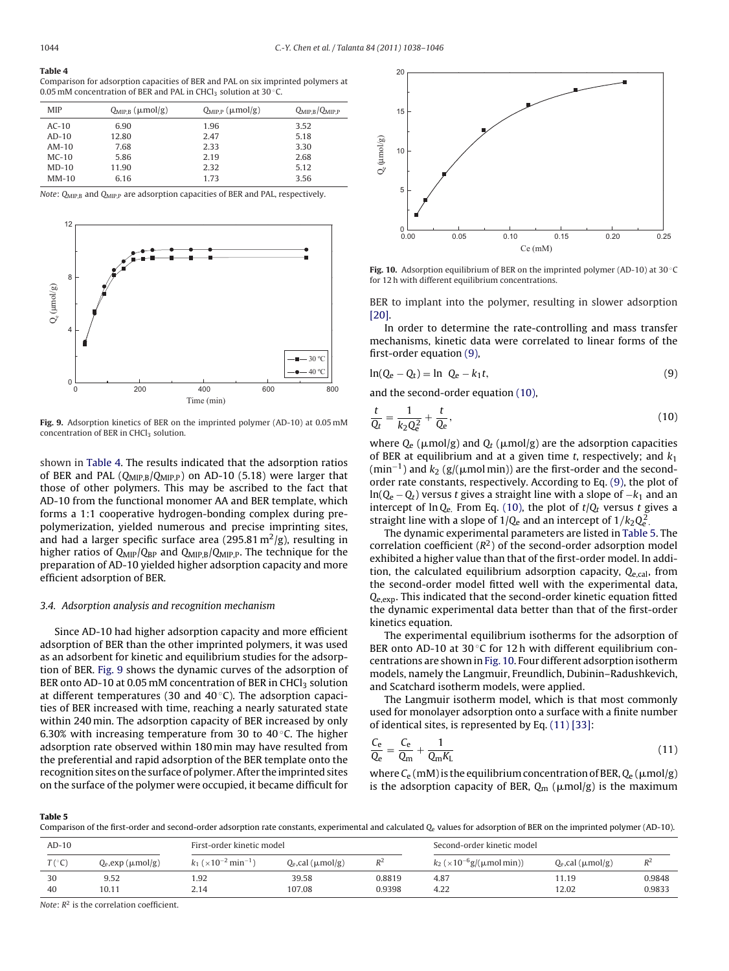#### **Table 4**

Comparison for adsorption capacities of BER and PAL on six imprinted polymers at 0.05 mM concentration of BER and PAL in CHCl<sub>3</sub> solution at 30 °C.

| <b>MIP</b> | $Q_{\text{MIP.B}}$ ( $\mu$ mol/g) | $Q_{MIP,P}$ ( $\mu$ mol/g) | $Q_{\text{MIP.B}}/Q_{\text{MIP.P}}$ |
|------------|-----------------------------------|----------------------------|-------------------------------------|
| $AC-10$    | 6.90                              | 1.96                       | 3.52                                |
| $AD-10$    | 12.80                             | 2.47                       | 5.18                                |
| $AM-10$    | 7.68                              | 2.33                       | 3.30                                |
| $MC-10$    | 5.86                              | 2.19                       | 2.68                                |
| $MD-10$    | 11.90                             | 2.32                       | 5.12                                |
| $MM-10$    | 6.16                              | 1.73                       | 3.56                                |

Note: Q<sub>MIP,B</sub> and Q<sub>MIP,P</sub> are adsorption capacities of BER and PAL, respectively.



**Fig. 9.** Adsorption kinetics of BER on the imprinted polymer (AD-10) at 0.05 mM concentration of BER in CHCl<sub>3</sub> solution.

shown in Table 4. The results indicated that the adsorption ratios of BER and PAL (Q<sub>MIP,B</sub>/Q<sub>MIP,P</sub>) on AD-10 (5.18) were larger that those of other polymers. This may be ascribed to the fact that AD-10 from the functional monomer AA and BER template, which forms a 1:1 cooperative hydrogen-bonding complex during prepolymerization, yielded numerous and precise imprinting sites, and had a larger specific surface area (295.81 m<sup>2</sup>/g), resulting in higher ratios of  $Q_{\text{MIP}}/Q_{\text{BP}}$  and  $Q_{\text{MIP,B}}/Q_{\text{MIP,P}}$ . The technique for the preparation of AD-10 yielded higher adsorption capacity and more efficient adsorption of BER.

## 3.4. Adsorption analysis and recognition mechanism

Since AD-10 had higher adsorption capacity and more efficient adsorption of BER than the other imprinted polymers, it was used as an adsorbent for kinetic and equilibrium studies for the adsorption of BER. Fig. 9 shows the dynamic curves of the adsorption of BER onto AD-10 at 0.05 mM concentration of BER in CHCl<sub>3</sub> solution at different temperatures (30 and  $40^{\circ}$ C). The adsorption capacities of BER increased with time, reaching a nearly saturated state within 240 min. The adsorption capacity of BER increased by only 6.30% with increasing temperature from 30 to 40 $\degree$ C. The higher adsorption rate observed within 180 min may have resulted from the preferential and rapid adsorption of the BER template onto the recognition sites on the surface of polymer. After the imprinted sites on the surface of the polymer were occupied, it became difficult for



**Fig. 10.** Adsorption equilibrium of BER on the imprinted polymer (AD-10) at 30 ◦C for 12 h with different equilibrium concentrations.

BER to implant into the polymer, resulting in slower adsorption [\[20\].](#page-8-0)

In order to determine the rate-controlling and mass transfer mechanisms, kinetic data were correlated to linear forms of the first-order equation (9),

$$
\ln(Q_e - Q_t) = \ln \ Q_e - k_1 t,\tag{9}
$$

and the second-order equation (10),

$$
\frac{t}{Q_t} = \frac{1}{k_2 Q_e^2} + \frac{t}{Q_e},\tag{10}
$$

where  $\mathrm{Q}_{\mathrm{e}}$  (µmol/g) and  $\mathrm{Q}_{\mathrm{f}}$  (µmol/g) are the adsorption capacities of BER at equilibrium and at a given time t, respectively; and  $k_1$  $(\text{min}^{-1})$  and  $k_2$  (g/( $\mu$ mol min)) are the first-order and the secondorder rate constants, respectively. According to Eq. (9), the plot of  $ln(Q_e - Q_t)$  versus t gives a straight line with a slope of  $-k_1$  and an intercept of  $\ln Q_e$ . From Eq. (10), the plot of  $t/Q_t$  versus t gives a straight line with a slope of 1/Q<sub>e</sub> and an intercept of 1/k<sub>2</sub>Q<sub>e</sub>.

The dynamic experimental parameters are listed in Table 5. The correlation coefficient  $(R^2)$  of the second-order adsorption model exhibited a higher value than that of the first-order model. In addition, the calculated equilibrium adsorption capacity,  $Q_{e,cal}$ , from the second-order model fitted well with the experimental data, Qe,exp. This indicated that the second-order kinetic equation fitted the dynamic experimental data better than that of the first-order kinetics equation.

The experimental equilibrium isotherms for the adsorption of BER onto AD-10 at 30 $\circ$ C for 12 h with different equilibrium concentrations are shown in Fig. 10. Four different adsorption isotherm models, namely the Langmuir, Freundlich, Dubinin–Radushkevich, and Scatchard isotherm models, were applied.

The Langmuir isotherm model, which is that most commonly used for monolayer adsorption onto a surface with a finite number of identical sites, is represented by Eq. (11) [\[33\]:](#page-8-0)

$$
\frac{C_e}{Q_e} = \frac{C_e}{Q_m} + \frac{1}{Q_m K_L} \tag{11}
$$

where C<sub>e</sub> (mM) is the equilibrium concentration of BER, Q<sub>e</sub> (µmol/g) is the adsorption capacity of BER,  $Q_{\rm m}$  ( $\mu{\rm mol/g})$  is the maximum

**Table 5**

Comparison of the first-order and second-order adsorption rate constants, experimental and calculated Q<sup>e</sup> values for adsorption of BER on the imprinted polymer (AD-10).

| $AD-10$          |                            | First-order kinetic model                             |                           | Second-order kinetic model |                                                       |                           |                  |
|------------------|----------------------------|-------------------------------------------------------|---------------------------|----------------------------|-------------------------------------------------------|---------------------------|------------------|
| $T({}^{\circ}C)$ | $Q_e$ , exp ( $\mu$ mol/g) | $k_1$ ( $\times$ 10 <sup>-2</sup> min <sup>-1</sup> ) | $Q_e$ ,cal ( $\mu$ mol/g) | $R^2$                      | $k_2$ ( $\times$ 10 <sup>-6</sup> g/( $\mu$ mol min)) | $Q_e$ ,cal ( $\mu$ mol/g) | $R^2$            |
| 30               | 9.52                       | 1.92                                                  | 39.58                     | 0.8819                     | 4.87                                                  | 11.19                     | 0.9848<br>0.9833 |
| 40               | 10.11                      | 2.14                                                  | 107.08                    | 0.9398                     | 4.22                                                  | 12.02                     |                  |

Note:  $R^2$  is the correlation coefficient.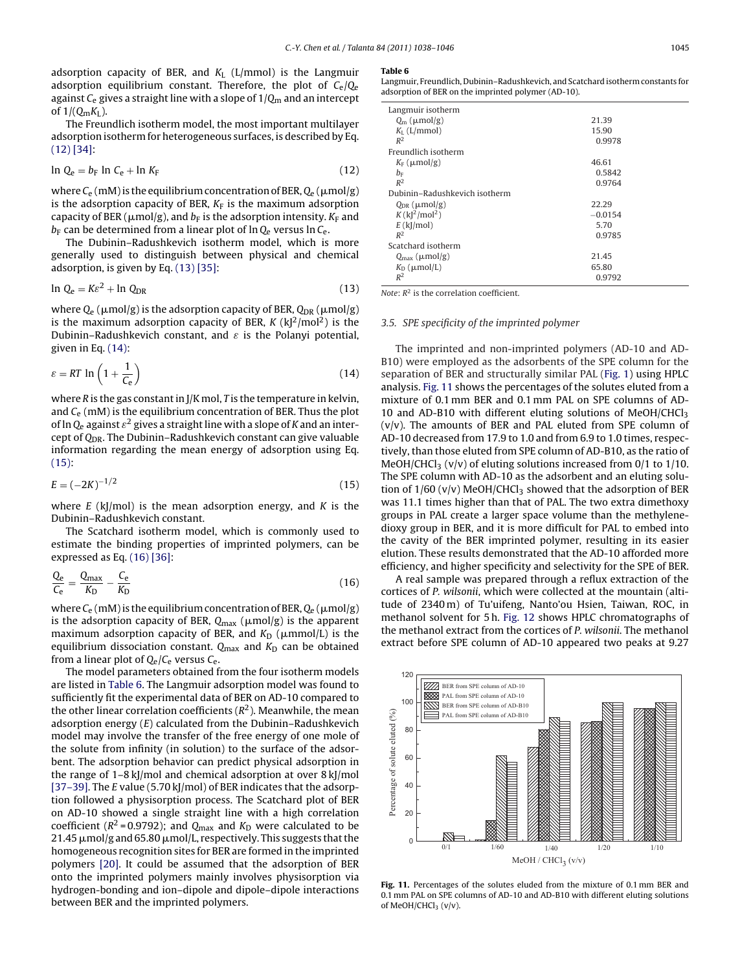adsorption capacity of BER, and  $K<sub>L</sub>$  (L/mmol) is the Langmuir adsorption equilibrium constant. Therefore, the plot of  $C_e/Q_e$ against  $C_e$  gives a straight line with a slope of  $1/Q<sub>m</sub>$  and an intercept of  $1/(Q_mK_L)$ .

The Freundlich isotherm model, the most important multilayer adsorption isotherm for heterogeneous surfaces, is described by Eq. (12) [\[34\]:](#page-8-0)

$$
\ln Q_e = b_F \ln C_e + \ln K_F \tag{12}
$$

where C<sub>e</sub> (mM) is the equilibrium concentration of BER, Q<sub>e</sub> (µmol/g) is the adsorption capacity of BER.  $K_F$  is the maximum adsorption capacity of BER ( $\mu$ mol/g), and  $b_{\rm F}$  is the adsorption intensity.  $K_{\rm F}$  and  $b_F$  can be determined from a linear plot of ln  $Q_e$  versus ln  $C_e$ .

The Dubinin–Radushkevich isotherm model, which is more generally used to distinguish between physical and chemical adsorption, is given by Eq. (13) [\[35\]:](#page-8-0)

$$
\ln Q_{\rm e} = K \varepsilon^2 + \ln Q_{\rm DR} \tag{13}
$$

where Q $_{\rm e}$  (µmol/g) is the adsorption capacity of BER, Q $_{\rm DR}$  (µmol/g) is the maximum adsorption capacity of BER,  $K (k)^2 / \text{mol}^2$ ) is the Dubinin–Radushkevich constant, and  $\varepsilon$  is the Polanyi potential, given in Eq. (14):

$$
\varepsilon = RT \ln \left( 1 + \frac{1}{C_{\rm e}} \right) \tag{14}
$$

where  $R$  is the gas constant in  $J/K$  mol,  $T$  is the temperature in kelvin, and  $C_e$  (mM) is the equilibrium concentration of BER. Thus the plot of ln  $Q_e$  against  $\varepsilon^2$  gives a straight line with a slope of K and an intercept of  $Q_{DR}$ . The Dubinin–Radushkevich constant can give valuable information regarding the mean energy of adsorption using Eq. (15):

$$
E = (-2K)^{-1/2} \tag{15}
$$

where  $E$  (kJ/mol) is the mean adsorption energy, and  $K$  is the Dubinin–Radushkevich constant.

The Scatchard isotherm model, which is commonly used to estimate the binding properties of imprinted polymers, can be expressed as Eq. (16) [\[36\]:](#page-8-0)

$$
\frac{Q_e}{C_e} = \frac{Q_{\text{max}}}{K_D} - \frac{C_e}{K_D} \tag{16}
$$

where C<sub>e</sub> (mM) is the equilibrium concentration of BER, Q<sub>e</sub> (µmol/g) is the adsorption capacity of BER,  $Q_{\rm max}$  ( $\mu{\rm mol/g})$  is the apparent maximum adsorption capacity of BER, and  $K_{\rm D}$  ( $\mu$ mmol/L) is the equilibrium dissociation constant.  $Q_{\text{max}}$  and  $K_{\text{D}}$  can be obtained from a linear plot of  $Q_e/C_e$  versus  $C_e$ .

The model parameters obtained from the four isotherm models are listed in Table 6. The Langmuir adsorption model was found to sufficiently fit the experimental data of BER on AD-10 compared to the other linear correlation coefficients  $(R^2)$ . Meanwhile, the mean adsorption energy (E) calculated from the Dubinin–Radushkevich model may involve the transfer of the free energy of one mole of the solute from infinity (in solution) to the surface of the adsorbent. The adsorption behavior can predict physical adsorption in the range of 1–8 kJ/mol and chemical adsorption at over 8 kJ/mol [\[37–39\]. T](#page-8-0)he E value (5.70 kJ/mol) of BER indicates that the adsorption followed a physisorption process. The Scatchard plot of BER on AD-10 showed a single straight line with a high correlation coefficient ( $R^2$  = 0.9792); and  $Q_{\text{max}}$  and  $K_D$  were calculated to be  $21.45$   $\mu$ mol/g and 65.80  $\mu$ mol/L, respectively. This suggests that the homogeneous recognition sites for BER are formed in the imprinted polymers [\[20\].](#page-8-0) It could be assumed that the adsorption of BER onto the imprinted polymers mainly involves physisorption via hydrogen-bonding and ion–dipole and dipole–dipole interactions between BER and the imprinted polymers.

#### **Table 6**

Langmuir, Freundlich, Dubinin–Radushkevich, and Scatchard isotherm constants for adsorption of BER on the imprinted polymer (AD-10).

| Langmuir isotherm                        |           |
|------------------------------------------|-----------|
| $Q_m$ ( $\mu$ mol/g)                     | 21.39     |
| $K_{\text{L}}$ (L/mmol)                  | 15.90     |
| $R^2$                                    | 0.9978    |
| Freundlich isotherm                      |           |
| $K_F$ ( $\mu$ mol/g)                     | 46.61     |
| $b_{\rm F}$                              | 0.5842    |
| $R^2$                                    | 0.9764    |
| Dubinin-Radushkevich isotherm            |           |
| $Q_{\text{DR}}$ ( $\mu$ mol/g)           | 22.29     |
| $K$ (k  <sup>2</sup> /mol <sup>2</sup> ) | $-0.0154$ |
| $E$ (kJ/mol)                             | 5.70      |
| $R^2$                                    | 0.9785    |
| Scatchard isotherm                       |           |
| $Q_{\text{max}}$ ( $\mu$ mol/g)          | 21.45     |
| $K_D$ ( $\mu$ mol/L)                     | 65.80     |
| $R^2$                                    | 0.9792    |

Note:  $R^2$  is the correlation coefficient.

#### 3.5. SPE specificity of the imprinted polymer

The imprinted and non-imprinted polymers (AD-10 and AD-B10) were employed as the adsorbents of the SPE column for the separation of BER and structurally similar PAL ([Fig. 1\)](#page-1-0) using HPLC analysis. Fig. 11 shows the percentages of the solutes eluted from a mixture of 0.1 mm BER and 0.1 mm PAL on SPE columns of AD-10 and AD-B10 with different eluting solutions of MeOH/CHCl $_3$  $(v/v)$ . The amounts of BER and PAL eluted from SPE column of AD-10 decreased from 17.9 to 1.0 and from 6.9 to 1.0 times, respectively, than those eluted from SPE column of AD-B10, as the ratio of MeOH/CHCl<sub>3</sub> (v/v) of eluting solutions increased from 0/1 to 1/10. The SPE column with AD-10 as the adsorbent and an eluting solution of  $1/60$  (v/v) MeOH/CHCl<sub>3</sub> showed that the adsorption of BER was 11.1 times higher than that of PAL. The two extra dimethoxy groups in PAL create a larger space volume than the methylenedioxy group in BER, and it is more difficult for PAL to embed into the cavity of the BER imprinted polymer, resulting in its easier elution. These results demonstrated that the AD-10 afforded more efficiency, and higher specificity and selectivity for the SPE of BER.

A real sample was prepared through a reflux extraction of the cortices of P. wilsonii, which were collected at the mountain (altitude of 2340 m) of Tu'uifeng, Nanto'ou Hsien, Taiwan, ROC, in methanol solvent for 5 h. [Fig. 12](#page-8-0) shows HPLC chromatographs of the methanol extract from the cortices of P. wilsonii. The methanol extract before SPE column of AD-10 appeared two peaks at 9.27



**Fig. 11.** Percentages of the solutes eluded from the mixture of 0.1 mm BER and 0.1 mm PAL on SPE columns of AD-10 and AD-B10 with different eluting solutions of MeOH/CHCl<sub>3</sub> (v/v).